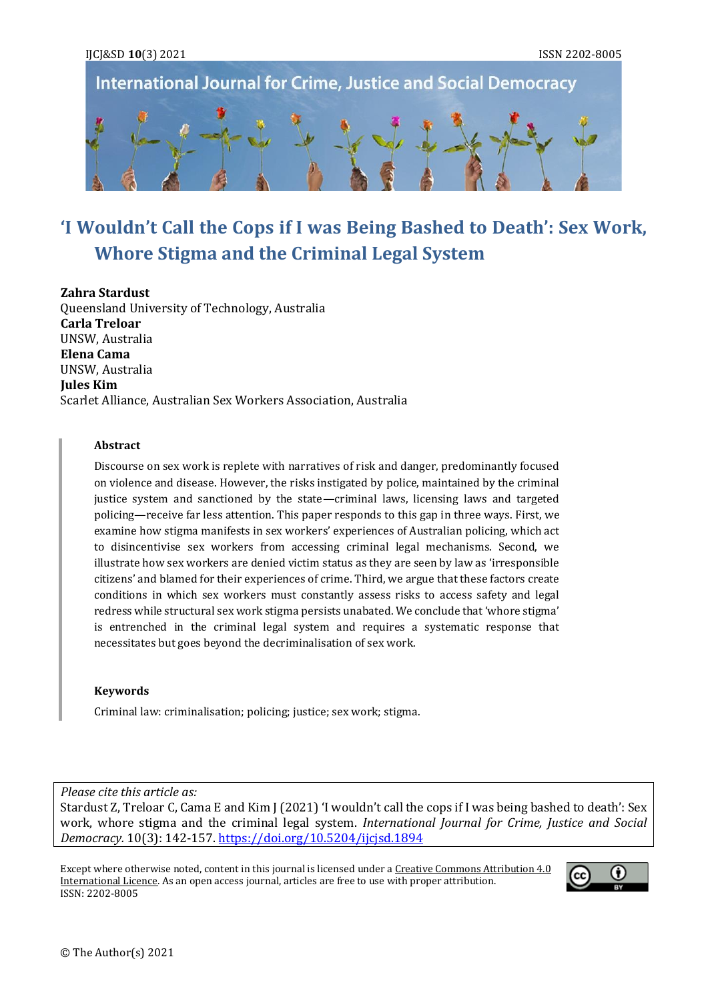

**International Journal for Crime, Justice and Social Democracy** 

# **'I Wouldn't Call the Cops if I was Being Bashed to Death': Sex Work, Whore Stigma and the Criminal Legal System**

**Zahra Stardust** Queensland University of Technology, Australia **Carla Treloar** UNSW, Australia **Elena Cama** UNSW, Australia **Jules Kim** Scarlet Alliance, Australian Sex Workers Association, Australia

#### **Abstract**

Discourse on sex work is replete with narratives of risk and danger, predominantly focused on violence and disease. However, the risks instigated by police, maintained by the criminal justice system and sanctioned by the state—criminal laws, licensing laws and targeted policing—receive far less attention. This paper responds to this gap in three ways. First, we examine how stigma manifests in sex workers' experiences of Australian policing, which act to disincentivise sex workers from accessing criminal legal mechanisms. Second, we illustrate how sex workers are denied victim status as they are seen by law as 'irresponsible citizens' and blamed for their experiences of crime. Third, we argue that these factors create conditions in which sex workers must constantly assess risks to access safety and legal redress while structural sex work stigma persists unabated. We conclude that 'whore stigma' is entrenched in the criminal legal system and requires a systematic response that necessitates but goes beyond the decriminalisation of sex work.

#### **Keywords**

Criminal law: criminalisation; policing; justice; sex work; stigma.

*Please cite this article as:* Stardust Z, Treloar C, Cama E and Kim J (2021) 'I wouldn't call the cops if I was being bashed to death': Sex work, whore stigma and the criminal legal system. *International Journal for Crime, Justice and Social Democracy.* 10(3): 142-157. <https://doi.org/10.5204/ijcjsd.1894>

Except where otherwise noted, content in this journal is licensed under a Creative Commons Attribution 4.0 [International Licence.](https://creativecommons.org/licenses/by/4.0/) As an open access journal, articles are free to use with proper attribution. ISSN: 2202-8005

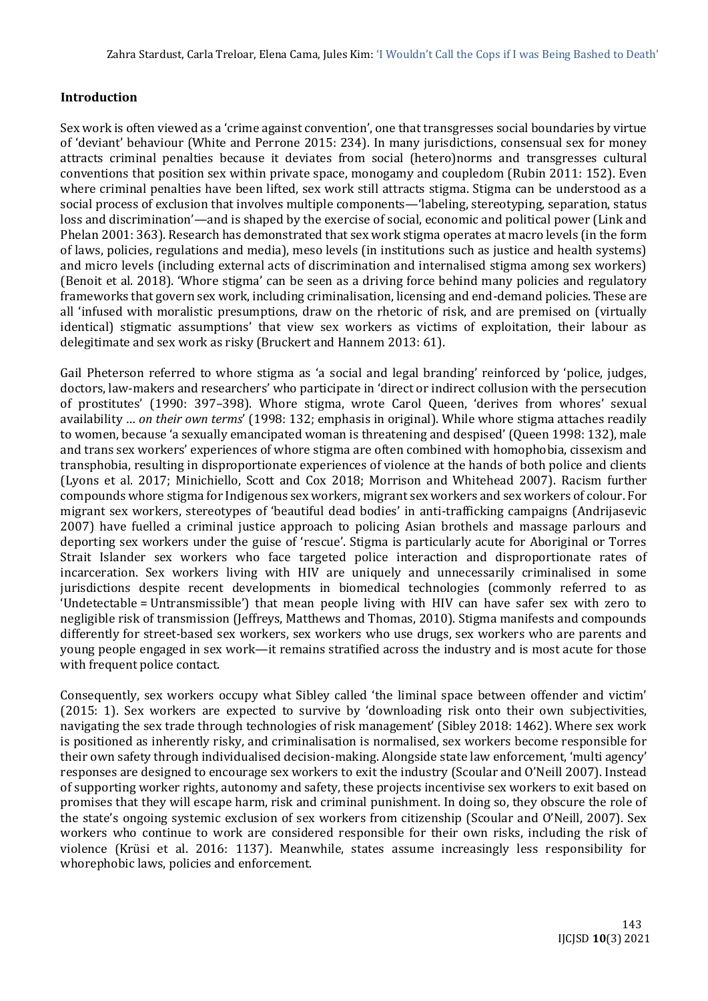### **Introduction**

Sex work is often viewed as a 'crime against convention', one that transgresses social boundaries by virtue of 'deviant' behaviour (White and Perrone 2015: 234). In many jurisdictions, consensual sex for money attracts criminal penalties because it deviates from social (hetero)norms and transgresses cultural conventions that position sex within private space, monogamy and coupledom (Rubin 2011: 152). Even where criminal penalties have been lifted, sex work still attracts stigma. Stigma can be understood as a social process of exclusion that involves multiple components—'labeling, stereotyping, separation, status loss and discrimination'—and is shaped by the exercise of social, economic and political power (Link and Phelan 2001: 363). Research has demonstrated that sex work stigma operates at macro levels (in the form of laws, policies, regulations and media), meso levels (in institutions such as justice and health systems) and micro levels (including external acts of discrimination and internalised stigma among sex workers) (Benoit et al. 2018). 'Whore stigma' can be seen as a driving force behind many policies and regulatory frameworks that govern sex work, including criminalisation, licensing and end-demand policies. These are all 'infused with moralistic presumptions, draw on the rhetoric of risk, and are premised on (virtually identical) stigmatic assumptions' that view sex workers as victims of exploitation, their labour as delegitimate and sex work as risky (Bruckert and Hannem 2013: 61).

Gail Pheterson referred to whore stigma as 'a social and legal branding' reinforced by 'police, judges, doctors, law-makers and researchers' who participate in 'direct or indirect collusion with the persecution of prostitutes' (1990: 397–398). Whore stigma, wrote Carol Queen, 'derives from whores' sexual availability … *on their own terms*' (1998: 132; emphasis in original). While whore stigma attaches readily to women, because 'a sexually emancipated woman is threatening and despised' (Queen 1998: 132), male and trans sex workers' experiences of whore stigma are often combined with homophobia, cissexism and transphobia, resulting in disproportionate experiences of violence at the hands of both police and clients (Lyons et al. 2017; Minichiello, Scott and Cox 2018; Morrison and Whitehead 2007). Racism further compounds whore stigma for Indigenous sex workers, migrant sex workers and sex workers of colour. For migrant sex workers, stereotypes of 'beautiful dead bodies' in anti-trafficking campaigns (Andrijasevic 2007) have fuelled a criminal justice approach to policing Asian brothels and massage parlours and deporting sex workers under the guise of 'rescue'. Stigma is particularly acute for Aboriginal or Torres Strait Islander sex workers who face targeted police interaction and disproportionate rates of incarceration. Sex workers living with HIV are uniquely and unnecessarily criminalised in some jurisdictions despite recent developments in biomedical technologies (commonly referred to as 'Undetectable = Untransmissible') that mean people living with HIV can have safer sex with zero to negligible risk of transmission (Jeffreys, Matthews and Thomas, 2010). Stigma manifests and compounds differently for street-based sex workers, sex workers who use drugs, sex workers who are parents and young people engaged in sex work—it remains stratified across the industry and is most acute for those with frequent police contact.

Consequently, sex workers occupy what Sibley called 'the liminal space between offender and victim' (2015: 1). Sex workers are expected to survive by 'downloading risk onto their own subjectivities, navigating the sex trade through technologies of risk management' (Sibley 2018: 1462). Where sex work is positioned as inherently risky, and criminalisation is normalised, sex workers become responsible for their own safety through individualised decision-making. Alongside state law enforcement, 'multi agency' responses are designed to encourage sex workers to exit the industry (Scoular and O'Neill 2007). Instead of supporting worker rights, autonomy and safety, these projects incentivise sex workers to exit based on promises that they will escape harm, risk and criminal punishment. In doing so, they obscure the role of the state's ongoing systemic exclusion of sex workers from citizenship (Scoular and O'Neill, 2007). Sex workers who continue to work are considered responsible for their own risks, including the risk of violence (Krüsi et al. 2016: 1137). Meanwhile, states assume increasingly less responsibility for whorephobic laws, policies and enforcement.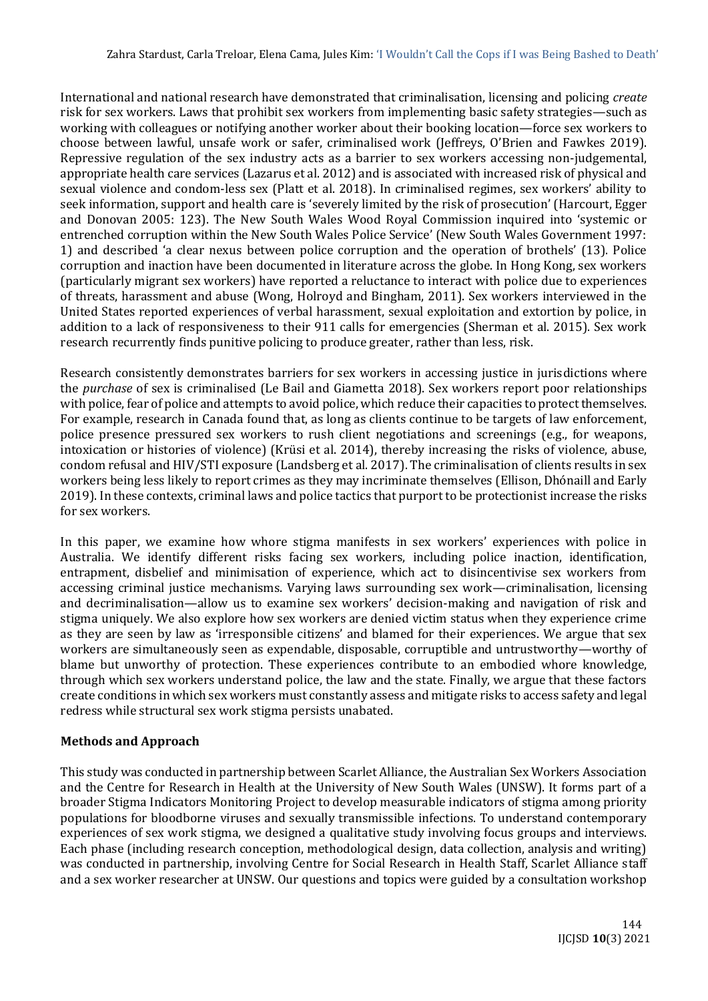International and national research have demonstrated that criminalisation, licensing and policing *create* risk for sex workers. Laws that prohibit sex workers from implementing basic safety strategies—such as working with colleagues or notifying another worker about their booking location—force sex workers to choose between lawful, unsafe work or safer, criminalised work (Jeffreys, O'Brien and Fawkes 2019). Repressive regulation of the sex industry acts as a barrier to sex workers accessing non-judgemental, appropriate health care services (Lazarus et al. 2012) and is associated with increased risk of physical and sexual violence and condom-less sex (Platt et al. 2018). In criminalised regimes, sex workers' ability to seek information, support and health care is 'severely limited by the risk of prosecution' (Harcourt, Egger and Donovan 2005: 123). The New South Wales Wood Royal Commission inquired into 'systemic or entrenched corruption within the New South Wales Police Service' (New South Wales Government 1997: 1) and described 'a clear nexus between police corruption and the operation of brothels' (13). Police corruption and inaction have been documented in literature across the globe. In Hong Kong, sex workers (particularly migrant sex workers) have reported a reluctance to interact with police due to experiences of threats, harassment and abuse (Wong, Holroyd and Bingham, 2011). Sex workers interviewed in the United States reported experiences of verbal harassment, sexual exploitation and extortion by police, in addition to a lack of responsiveness to their 911 calls for emergencies (Sherman et al. 2015). Sex work research recurrently finds punitive policing to produce greater, rather than less, risk.

Research consistently demonstrates barriers for sex workers in accessing justice in jurisdictions where the *purchase* of sex is criminalised (Le Bail and Giametta 2018). Sex workers report poor relationships with police, fear of police and attempts to avoid police, which reduce their capacities to protect themselves. For example, research in Canada found that, as long as clients continue to be targets of law enforcement, police presence pressured sex workers to rush client negotiations and screenings (e.g., for weapons, intoxication or histories of violence) (Krüsi et al. 2014), thereby increasing the risks of violence, abuse, condom refusal and HIV/STI exposure (Landsberg et al. 2017). The criminalisation of clients results in sex workers being less likely to report crimes as they may incriminate themselves (Ellison, Dhónaill and Early 2019). In these contexts, criminal laws and police tactics that purport to be protectionist increase the risks for sex workers.

In this paper, we examine how whore stigma manifests in sex workers' experiences with police in Australia. We identify different risks facing sex workers, including police inaction, identification, entrapment, disbelief and minimisation of experience, which act to disincentivise sex workers from accessing criminal justice mechanisms. Varying laws surrounding sex work—criminalisation, licensing and decriminalisation—allow us to examine sex workers' decision-making and navigation of risk and stigma uniquely. We also explore how sex workers are denied victim status when they experience crime as they are seen by law as 'irresponsible citizens' and blamed for their experiences. We argue that sex workers are simultaneously seen as expendable, disposable, corruptible and untrustworthy—worthy of blame but unworthy of protection. These experiences contribute to an embodied whore knowledge, through which sex workers understand police, the law and the state. Finally, we argue that these factors create conditions in which sex workers must constantly assess and mitigate risks to access safety and legal redress while structural sex work stigma persists unabated.

## **Methods and Approach**

This study was conducted in partnership between Scarlet Alliance, the Australian Sex Workers Association and the Centre for Research in Health at the University of New South Wales (UNSW). It forms part of a broader Stigma Indicators Monitoring Project to develop measurable indicators of stigma among priority populations for bloodborne viruses and sexually transmissible infections. To understand contemporary experiences of sex work stigma, we designed a qualitative study involving focus groups and interviews. Each phase (including research conception, methodological design, data collection, analysis and writing) was conducted in partnership, involving Centre for Social Research in Health Staff, Scarlet Alliance staff and a sex worker researcher at UNSW. Our questions and topics were guided by a consultation workshop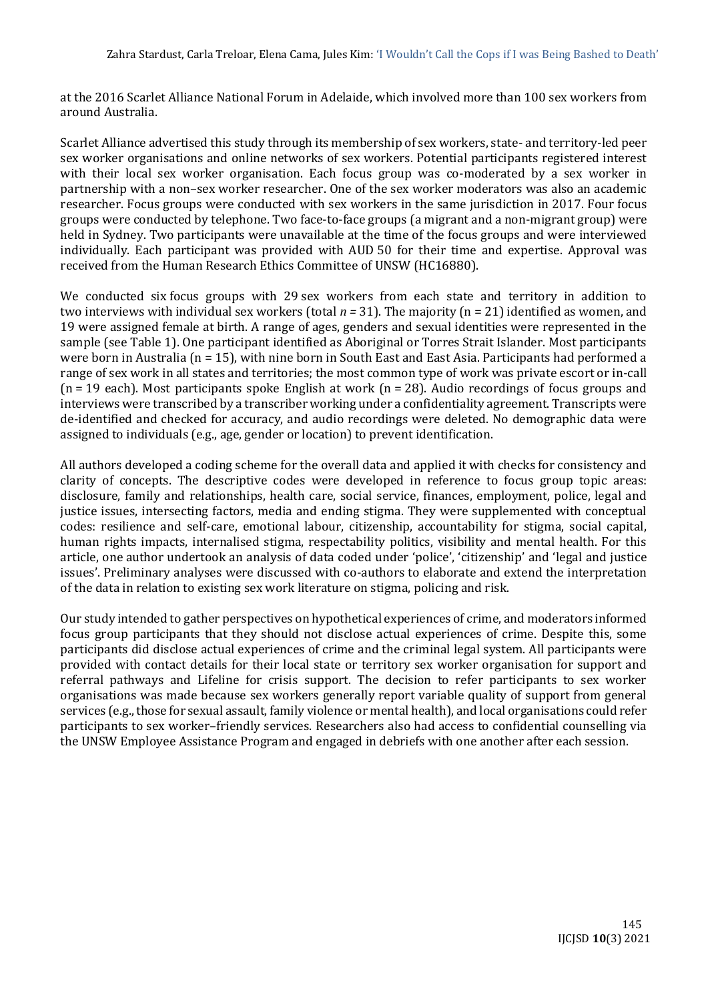at the 2016 Scarlet Alliance National Forum in Adelaide, which involved more than 100 sex workers from around Australia.

Scarlet Alliance advertised this study through its membership of sex workers, state- and territory-led peer sex worker organisations and online networks of sex workers. Potential participants registered interest with their local sex worker organisation. Each focus group was co-moderated by a sex worker in partnership with a non–sex worker researcher. One of the sex worker moderators was also an academic researcher. Focus groups were conducted with sex workers in the same jurisdiction in 2017. Four focus groups were conducted by telephone. Two face-to-face groups (a migrant and a non-migrant group) were held in Sydney. Two participants were unavailable at the time of the focus groups and were interviewed individually. Each participant was provided with AUD 50 for their time and expertise. Approval was received from the Human Research Ethics Committee of UNSW (HC16880).

We conducted six focus groups with 29 sex workers from each state and territory in addition to two interviews with individual sex workers (total *n =* 31). The majority (n = 21) identified as women, and 19 were assigned female at birth. A range of ages, genders and sexual identities were represented in the sample (see Table 1). One participant identified as Aboriginal or Torres Strait Islander. Most participants were born in Australia (n = 15), with nine born in South East and East Asia. Participants had performed a range of sex work in all states and territories; the most common type of work was private escort or in-call  $(n = 19$  each). Most participants spoke English at work  $(n = 28)$ . Audio recordings of focus groups and interviews were transcribed by a transcriber working under a confidentiality agreement. Transcripts were de-identified and checked for accuracy, and audio recordings were deleted. No demographic data were assigned to individuals (e.g., age, gender or location) to prevent identification.

All authors developed a coding scheme for the overall data and applied it with checks for consistency and clarity of concepts. The descriptive codes were developed in reference to focus group topic areas: disclosure, family and relationships, health care, social service, finances, employment, police, legal and justice issues, intersecting factors, media and ending stigma. They were supplemented with conceptual codes: resilience and self-care, emotional labour, citizenship, accountability for stigma, social capital, human rights impacts, internalised stigma, respectability politics, visibility and mental health. For this article, one author undertook an analysis of data coded under 'police', 'citizenship' and 'legal and justice issues'. Preliminary analyses were discussed with co-authors to elaborate and extend the interpretation of the data in relation to existing sex work literature on stigma, policing and risk.

Our study intended to gather perspectives on hypothetical experiences of crime, and moderators informed focus group participants that they should not disclose actual experiences of crime. Despite this, some participants did disclose actual experiences of crime and the criminal legal system. All participants were provided with contact details for their local state or territory sex worker organisation for support and referral pathways and Lifeline for crisis support. The decision to refer participants to sex worker organisations was made because sex workers generally report variable quality of support from general services (e.g., those for sexual assault, family violence or mental health), and local organisations could refer participants to sex worker–friendly services. Researchers also had access to confidential counselling via the UNSW Employee Assistance Program and engaged in debriefs with one another after each session.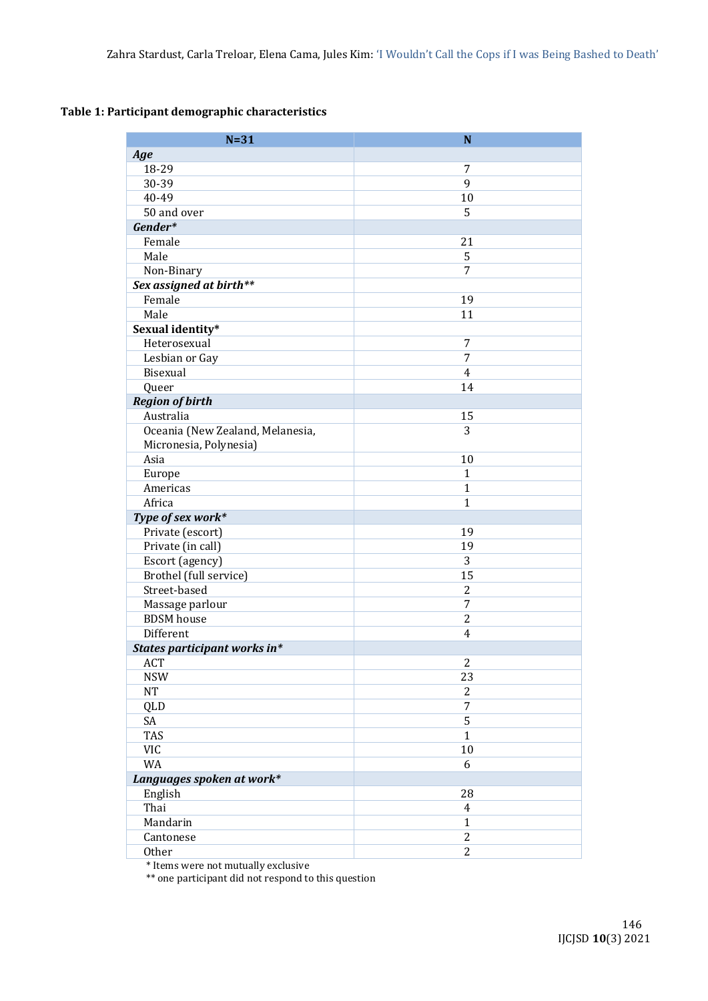## **Table 1: Participant demographic characteristics**

| $N=31$                           | N              |
|----------------------------------|----------------|
| Age                              |                |
| 18-29                            | 7              |
| 30-39                            | 9              |
| 40-49                            | 10             |
| 50 and over                      | 5              |
| Gender*                          |                |
| Female                           | 21             |
| Male                             | 5              |
| Non-Binary                       | 7              |
| Sex assigned at birth**          |                |
| Female                           | 19             |
| Male                             | 11             |
| Sexual identity*                 |                |
| Heterosexual                     | 7              |
| Lesbian or Gay                   | 7              |
| Bisexual                         | 4              |
| Queer                            | 14             |
| <b>Region of birth</b>           |                |
| Australia                        | 15             |
| Oceania (New Zealand, Melanesia, | 3              |
| Micronesia, Polynesia)           |                |
| Asia                             | 10             |
| Europe                           | $\mathbf{1}$   |
| Americas                         | $\mathbf{1}$   |
| Africa                           | $\mathbf{1}$   |
| Type of sex work*                |                |
| Private (escort)                 | 19             |
| Private (in call)                | 19             |
| Escort (agency)                  | 3              |
| Brothel (full service)           | 15             |
| Street-based                     | $\overline{c}$ |
| Massage parlour                  | 7              |
| <b>BDSM</b> house                | $\overline{2}$ |
| Different                        | 4              |
| States participant works in*     |                |
| ACT                              | $\overline{2}$ |
| <b>NSW</b>                       | 23             |
| NT                               | $\overline{2}$ |
| QLD                              | 7              |
| SA                               | 5              |
| TAS                              | $\mathbf{1}$   |
| <b>VIC</b>                       | 10             |
| WA                               | 6              |
| Languages spoken at work*        |                |
| English                          | 28             |
| Thai                             | $\overline{4}$ |
| Mandarin                         | $\mathbf{1}$   |
| Cantonese                        | $\overline{2}$ |
| Other                            | $\overline{2}$ |

\* Items were not mutually exclusive

\*\* one participant did not respond to this question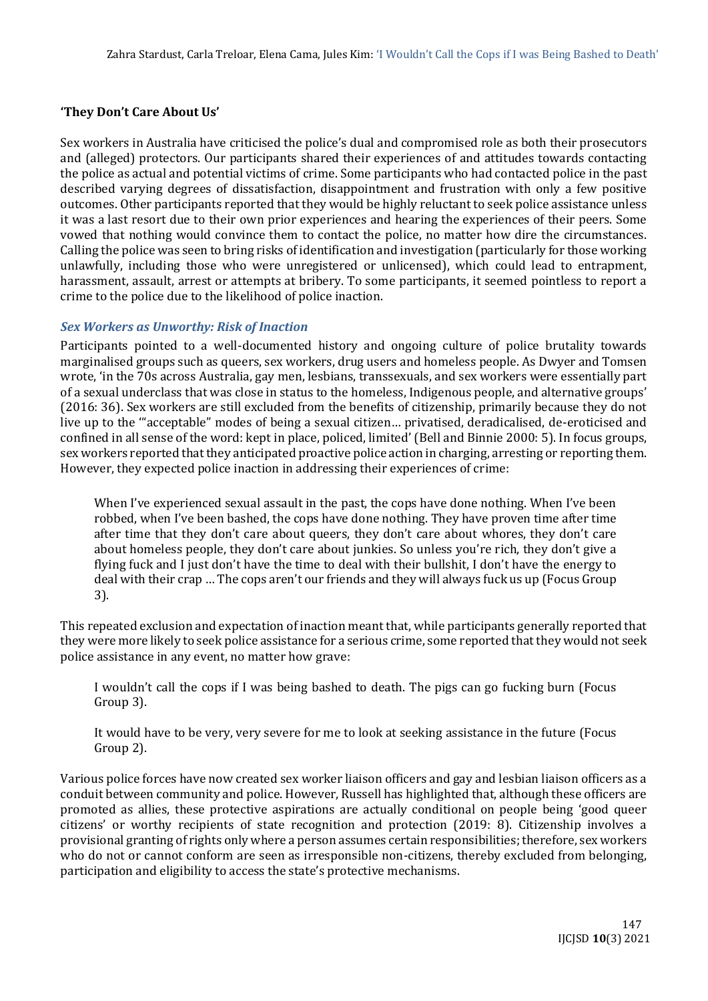## **'They Don't Care About Us'**

Sex workers in Australia have criticised the police's dual and compromised role as both their prosecutors and (alleged) protectors. Our participants shared their experiences of and attitudes towards contacting the police as actual and potential victims of crime. Some participants who had contacted police in the past described varying degrees of dissatisfaction, disappointment and frustration with only a few positive outcomes. Other participants reported that they would be highly reluctant to seek police assistance unless it was a last resort due to their own prior experiences and hearing the experiences of their peers. Some vowed that nothing would convince them to contact the police, no matter how dire the circumstances. Calling the police was seen to bring risks of identification and investigation (particularly for those working unlawfully, including those who were unregistered or unlicensed), which could lead to entrapment, harassment, assault, arrest or attempts at bribery. To some participants, it seemed pointless to report a crime to the police due to the likelihood of police inaction.

## *Sex Workers as Unworthy: Risk of Inaction*

Participants pointed to a well-documented history and ongoing culture of police brutality towards marginalised groups such as queers, sex workers, drug users and homeless people. As Dwyer and Tomsen wrote, 'in the 70s across Australia, gay men, lesbians, transsexuals, and sex workers were essentially part of a sexual underclass that was close in status to the homeless, Indigenous people, and alternative groups' (2016: 36). Sex workers are still excluded from the benefits of citizenship, primarily because they do not live up to the '"acceptable" modes of being a sexual citizen… privatised, deradicalised, de-eroticised and confined in all sense of the word: kept in place, policed, limited' (Bell and Binnie 2000: 5). In focus groups, sex workers reported that they anticipated proactive police action in charging, arresting or reporting them. However, they expected police inaction in addressing their experiences of crime:

When I've experienced sexual assault in the past, the cops have done nothing. When I've been robbed, when I've been bashed, the cops have done nothing. They have proven time after time after time that they don't care about queers, they don't care about whores, they don't care about homeless people, they don't care about junkies. So unless you're rich, they don't give a flying fuck and I just don't have the time to deal with their bullshit, I don't have the energy to deal with their crap … The cops aren't our friends and they will always fuck us up (Focus Group 3).

This repeated exclusion and expectation of inaction meant that, while participants generally reported that they were more likely to seek police assistance for a serious crime, some reported that they would not seek police assistance in any event, no matter how grave:

I wouldn't call the cops if I was being bashed to death. The pigs can go fucking burn (Focus Group 3).

It would have to be very, very severe for me to look at seeking assistance in the future (Focus Group 2).

Various police forces have now created sex worker liaison officers and gay and lesbian liaison officers as a conduit between community and police. However, Russell has highlighted that, although these officers are promoted as allies, these protective aspirations are actually conditional on people being 'good queer citizens' or worthy recipients of state recognition and protection (2019: 8). Citizenship involves a provisional granting of rights only where a person assumes certain responsibilities; therefore, sex workers who do not or cannot conform are seen as irresponsible non-citizens, thereby excluded from belonging, participation and eligibility to access the state's protective mechanisms.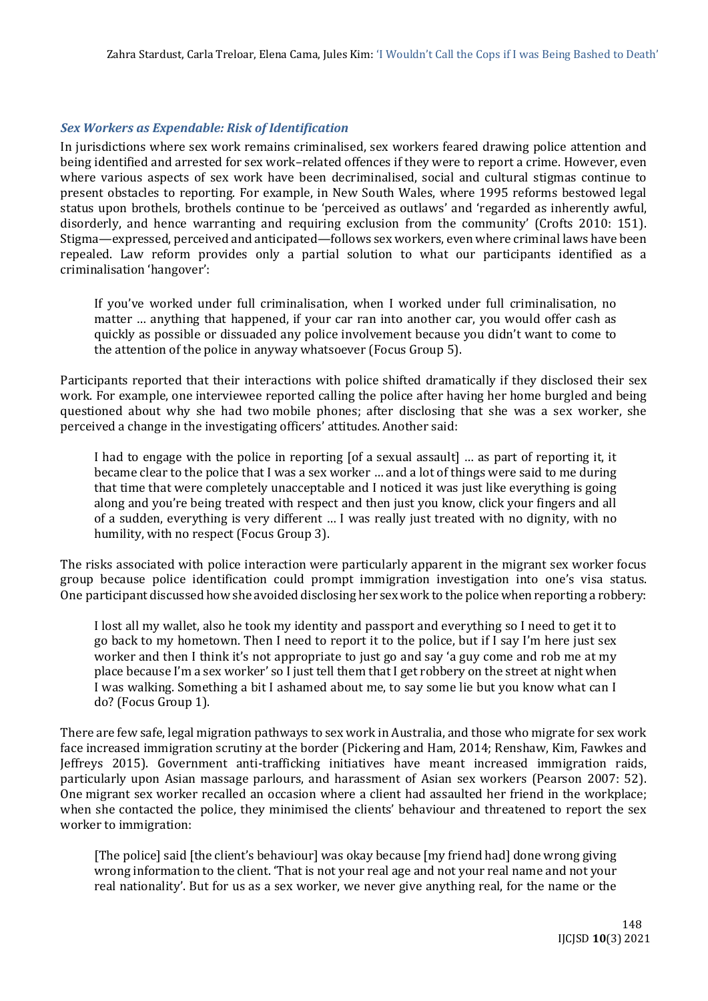### *Sex Workers as Expendable: Risk of Identification*

In jurisdictions where sex work remains criminalised, sex workers feared drawing police attention and being identified and arrested for sex work–related offences if they were to report a crime. However, even where various aspects of sex work have been decriminalised, social and cultural stigmas continue to present obstacles to reporting. For example, in New South Wales, where 1995 reforms bestowed legal status upon brothels, brothels continue to be 'perceived as outlaws' and 'regarded as inherently awful, disorderly, and hence warranting and requiring exclusion from the community' (Crofts 2010: 151). Stigma—expressed, perceived and anticipated—follows sex workers, even where criminal laws have been repealed. Law reform provides only a partial solution to what our participants identified as a criminalisation 'hangover':

If you've worked under full criminalisation, when I worked under full criminalisation, no matter … anything that happened, if your car ran into another car, you would offer cash as quickly as possible or dissuaded any police involvement because you didn't want to come to the attention of the police in anyway whatsoever (Focus Group 5).

Participants reported that their interactions with police shifted dramatically if they disclosed their sex work. For example, one interviewee reported calling the police after having her home burgled and being questioned about why she had two mobile phones; after disclosing that she was a sex worker, she perceived a change in the investigating officers' attitudes. Another said:

I had to engage with the police in reporting [of a sexual assault] … as part of reporting it, it became clear to the police that I was a sex worker … and a lot of things were said to me during that time that were completely unacceptable and I noticed it was just like everything is going along and you're being treated with respect and then just you know, click your fingers and all of a sudden, everything is very different … I was really just treated with no dignity, with no humility, with no respect (Focus Group 3).

The risks associated with police interaction were particularly apparent in the migrant sex worker focus group because police identification could prompt immigration investigation into one's visa status. One participant discussed how she avoided disclosing her sex work to the police when reporting a robbery:

I lost all my wallet, also he took my identity and passport and everything so I need to get it to go back to my hometown. Then I need to report it to the police, but if I say I'm here just sex worker and then I think it's not appropriate to just go and say 'a guy come and rob me at my place because I'm a sex worker' so I just tell them that I get robbery on the street at night when I was walking. Something a bit I ashamed about me, to say some lie but you know what can I do? (Focus Group 1).

There are few safe, legal migration pathways to sex work in Australia, and those who migrate for sex work face increased immigration scrutiny at the border (Pickering and Ham, 2014; Renshaw, Kim, Fawkes and Jeffreys 2015). Government anti-trafficking initiatives have meant increased immigration raids, particularly upon Asian massage parlours, and harassment of Asian sex workers (Pearson 2007: 52). One migrant sex worker recalled an occasion where a client had assaulted her friend in the workplace; when she contacted the police, they minimised the clients' behaviour and threatened to report the sex worker to immigration:

[The police] said [the client's behaviour] was okay because [my friend had] done wrong giving wrong information to the client. 'That is not your real age and not your real name and not your real nationality'. But for us as a sex worker, we never give anything real, for the name or the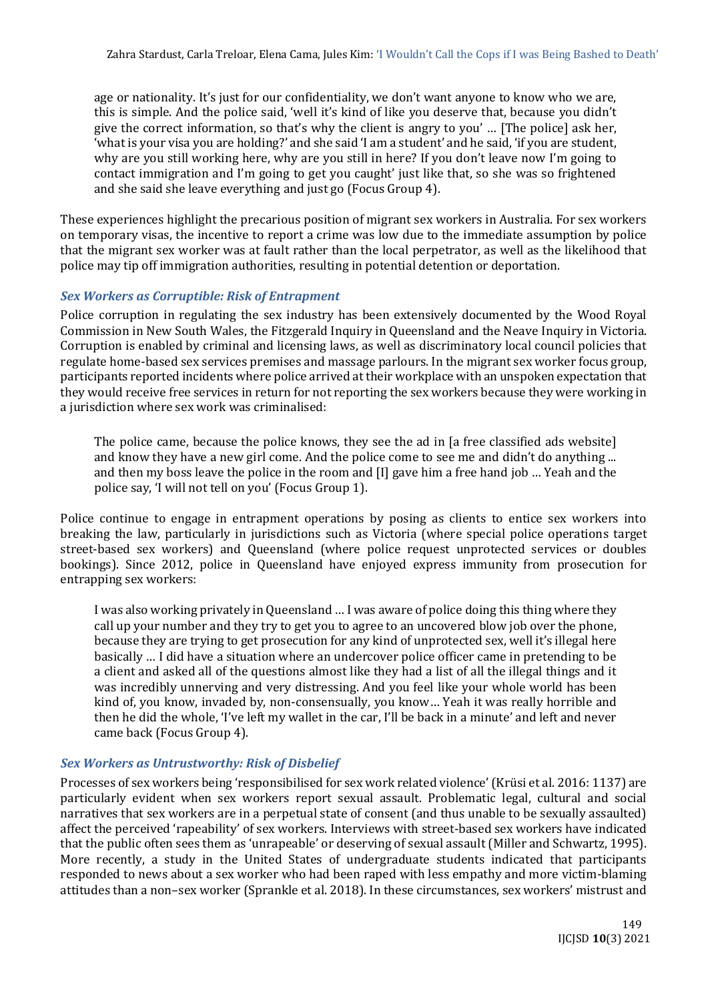age or nationality. It's just for our confidentiality, we don't want anyone to know who we are, this is simple. And the police said, 'well it's kind of like you deserve that, because you didn't give the correct information, so that's why the client is angry to you' … [The police] ask her, 'what is your visa you are holding?' and she said 'I am a student' and he said, 'if you are student, why are you still working here, why are you still in here? If you don't leave now I'm going to contact immigration and I'm going to get you caught' just like that, so she was so frightened and she said she leave everything and just go (Focus Group 4).

These experiences highlight the precarious position of migrant sex workers in Australia. For sex workers on temporary visas, the incentive to report a crime was low due to the immediate assumption by police that the migrant sex worker was at fault rather than the local perpetrator, as well as the likelihood that police may tip off immigration authorities, resulting in potential detention or deportation.

# *Sex Workers as Corruptible: Risk of Entrapment*

Police corruption in regulating the sex industry has been extensively documented by the Wood Royal Commission in New South Wales, the Fitzgerald Inquiry in Queensland and the Neave Inquiry in Victoria. Corruption is enabled by criminal and licensing laws, as well as discriminatory local council policies that regulate home-based sex services premises and massage parlours. In the migrant sex worker focus group, participants reported incidents where police arrived at their workplace with an unspoken expectation that they would receive free services in return for not reporting the sex workers because they were working in a jurisdiction where sex work was criminalised:

The police came, because the police knows, they see the ad in [a free classified ads website] and know they have a new girl come. And the police come to see me and didn't do anything ... and then my boss leave the police in the room and [I] gave him a free hand job … Yeah and the police say, 'I will not tell on you' (Focus Group 1).

Police continue to engage in entrapment operations by posing as clients to entice sex workers into breaking the law, particularly in jurisdictions such as Victoria (where special police operations target street-based sex workers) and Queensland (where police request unprotected services or doubles bookings). Since 2012, police in Queensland have enjoyed express immunity from prosecution for entrapping sex workers:

I was also working privately in Queensland … I was aware of police doing this thing where they call up your number and they try to get you to agree to an uncovered blow job over the phone, because they are trying to get prosecution for any kind of unprotected sex, well it's illegal here basically … I did have a situation where an undercover police officer came in pretending to be a client and asked all of the questions almost like they had a list of all the illegal things and it was incredibly unnerving and very distressing. And you feel like your whole world has been kind of, you know, invaded by, non-consensually, you know… Yeah it was really horrible and then he did the whole, 'I've left my wallet in the car, I'll be back in a minute' and left and never came back (Focus Group 4).

## *Sex Workers as Untrustworthy: Risk of Disbelief*

Processes of sex workers being 'responsibilised for sex work related violence' (Krüsi et al. 2016: 1137) are particularly evident when sex workers report sexual assault. Problematic legal, cultural and social narratives that sex workers are in a perpetual state of consent (and thus unable to be sexually assaulted) affect the perceived 'rapeability' of sex workers. Interviews with street-based sex workers have indicated that the public often sees them as 'unrapeable' or deserving of sexual assault (Miller and Schwartz, 1995). More recently, a study in the United States of undergraduate students indicated that participants responded to news about a sex worker who had been raped with less empathy and more victim-blaming attitudes than a non–sex worker (Sprankle et al. 2018). In these circumstances, sex workers' mistrust and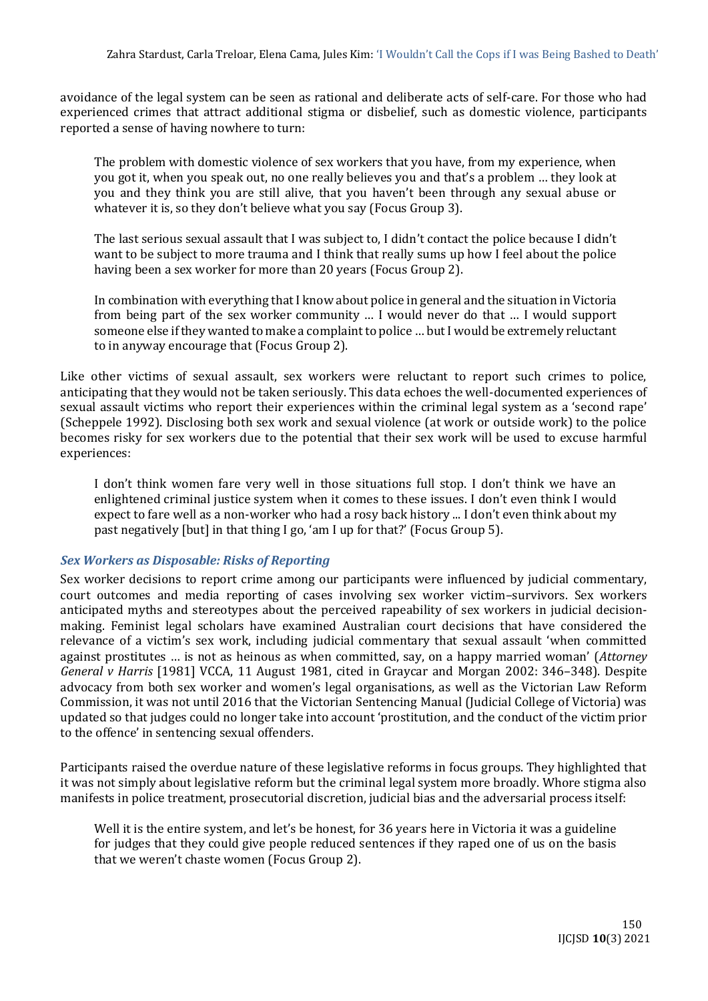avoidance of the legal system can be seen as rational and deliberate acts of self-care. For those who had experienced crimes that attract additional stigma or disbelief, such as domestic violence, participants reported a sense of having nowhere to turn:

The problem with domestic violence of sex workers that you have, from my experience, when you got it, when you speak out, no one really believes you and that's a problem … they look at you and they think you are still alive, that you haven't been through any sexual abuse or whatever it is, so they don't believe what you say (Focus Group 3).

The last serious sexual assault that I was subject to, I didn't contact the police because I didn't want to be subject to more trauma and I think that really sums up how I feel about the police having been a sex worker for more than 20 years (Focus Group 2).

In combination with everything that I know about police in general and the situation in Victoria from being part of the sex worker community … I would never do that … I would support someone else if they wanted to make a complaint to police … but I would be extremely reluctant to in anyway encourage that (Focus Group 2).

Like other victims of sexual assault, sex workers were reluctant to report such crimes to police, anticipating that they would not be taken seriously. This data echoes the well-documented experiences of sexual assault victims who report their experiences within the criminal legal system as a 'second rape' (Scheppele 1992). Disclosing both sex work and sexual violence (at work or outside work) to the police becomes risky for sex workers due to the potential that their sex work will be used to excuse harmful experiences:

I don't think women fare very well in those situations full stop. I don't think we have an enlightened criminal justice system when it comes to these issues. I don't even think I would expect to fare well as a non-worker who had a rosy back history ... I don't even think about my past negatively [but] in that thing I go, 'am I up for that?' (Focus Group 5).

## *Sex Workers as Disposable: Risks of Reporting*

Sex worker decisions to report crime among our participants were influenced by judicial commentary, court outcomes and media reporting of cases involving sex worker victim–survivors. Sex workers anticipated myths and stereotypes about the perceived rapeability of sex workers in judicial decisionmaking. Feminist legal scholars have examined Australian court decisions that have considered the relevance of a victim's sex work, including judicial commentary that sexual assault 'when committed against prostitutes … is not as heinous as when committed, say, on a happy married woman' (*Attorney General v Harris* [1981] VCCA, 11 August 1981, cited in Graycar and Morgan 2002: 346–348). Despite advocacy from both sex worker and women's legal organisations, as well as the Victorian Law Reform Commission, it was not until 2016 that the Victorian Sentencing Manual (Judicial College of Victoria) was updated so that judges could no longer take into account 'prostitution, and the conduct of the victim prior to the offence' in sentencing sexual offenders.

Participants raised the overdue nature of these legislative reforms in focus groups. They highlighted that it was not simply about legislative reform but the criminal legal system more broadly. Whore stigma also manifests in police treatment, prosecutorial discretion, judicial bias and the adversarial process itself:

Well it is the entire system, and let's be honest, for 36 years here in Victoria it was a guideline for judges that they could give people reduced sentences if they raped one of us on the basis that we weren't chaste women (Focus Group 2).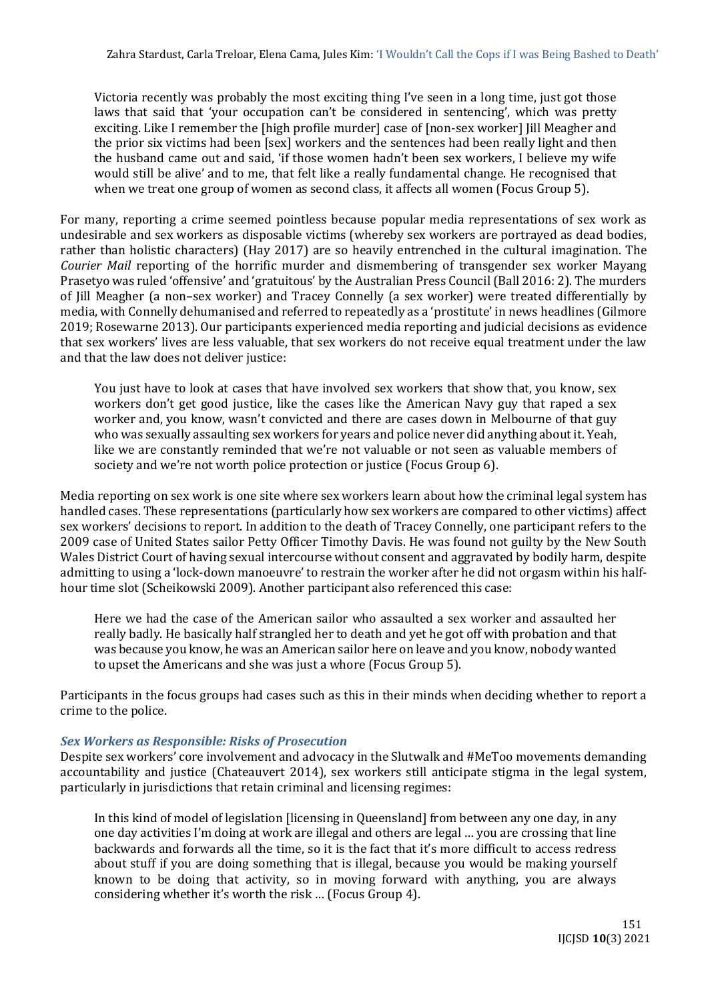Victoria recently was probably the most exciting thing I've seen in a long time, just got those laws that said that 'your occupation can't be considered in sentencing', which was pretty exciting. Like I remember the [high profile murder] case of [non-sex worker] Jill Meagher and the prior six victims had been [sex] workers and the sentences had been really light and then the husband came out and said, 'if those women hadn't been sex workers, I believe my wife would still be alive' and to me, that felt like a really fundamental change. He recognised that when we treat one group of women as second class, it affects all women (Focus Group 5).

For many, reporting a crime seemed pointless because popular media representations of sex work as undesirable and sex workers as disposable victims (whereby sex workers are portrayed as dead bodies, rather than holistic characters) (Hay 2017) are so heavily entrenched in the cultural imagination. The *Courier Mail* reporting of the horrific murder and dismembering of transgender sex worker Mayang Prasetyo was ruled 'offensive' and 'gratuitous' by the Australian Press Council (Ball 2016: 2). The murders of Jill Meagher (a non–sex worker) and Tracey Connelly (a sex worker) were treated differentially by media, with Connelly dehumanised and referred to repeatedly as a 'prostitute' in news headlines (Gilmore 2019; Rosewarne 2013). Our participants experienced media reporting and judicial decisions as evidence that sex workers' lives are less valuable, that sex workers do not receive equal treatment under the law and that the law does not deliver justice:

You just have to look at cases that have involved sex workers that show that, you know, sex workers don't get good justice, like the cases like the American Navy guy that raped a sex worker and, you know, wasn't convicted and there are cases down in Melbourne of that guy who was sexually assaulting sex workers for years and police never did anything about it. Yeah, like we are constantly reminded that we're not valuable or not seen as valuable members of society and we're not worth police protection or justice (Focus Group 6).

Media reporting on sex work is one site where sex workers learn about how the criminal legal system has handled cases. These representations (particularly how sex workers are compared to other victims) affect sex workers' decisions to report. In addition to the death of Tracey Connelly, one participant refers to the 2009 case of United States sailor Petty Officer Timothy Davis. He was found not guilty by the New South Wales District Court of having sexual intercourse without consent and aggravated by bodily harm, despite admitting to using a 'lock-down manoeuvre' to restrain the worker after he did not orgasm within his halfhour time slot (Scheikowski 2009). Another participant also referenced this case:

Here we had the case of the American sailor who assaulted a sex worker and assaulted her really badly. He basically half strangled her to death and yet he got off with probation and that was because you know, he was an American sailor here on leave and you know, nobody wanted to upset the Americans and she was just a whore (Focus Group 5).

Participants in the focus groups had cases such as this in their minds when deciding whether to report a crime to the police.

## *Sex Workers as Responsible: Risks of Prosecution*

Despite sex workers' core involvement and advocacy in the Slutwalk and #MeToo movements demanding accountability and justice (Chateauvert 2014), sex workers still anticipate stigma in the legal system, particularly in jurisdictions that retain criminal and licensing regimes:

In this kind of model of legislation [licensing in Queensland] from between any one day, in any one day activities I'm doing at work are illegal and others are legal … you are crossing that line backwards and forwards all the time, so it is the fact that it's more difficult to access redress about stuff if you are doing something that is illegal, because you would be making yourself known to be doing that activity, so in moving forward with anything, you are always considering whether it's worth the risk … (Focus Group 4).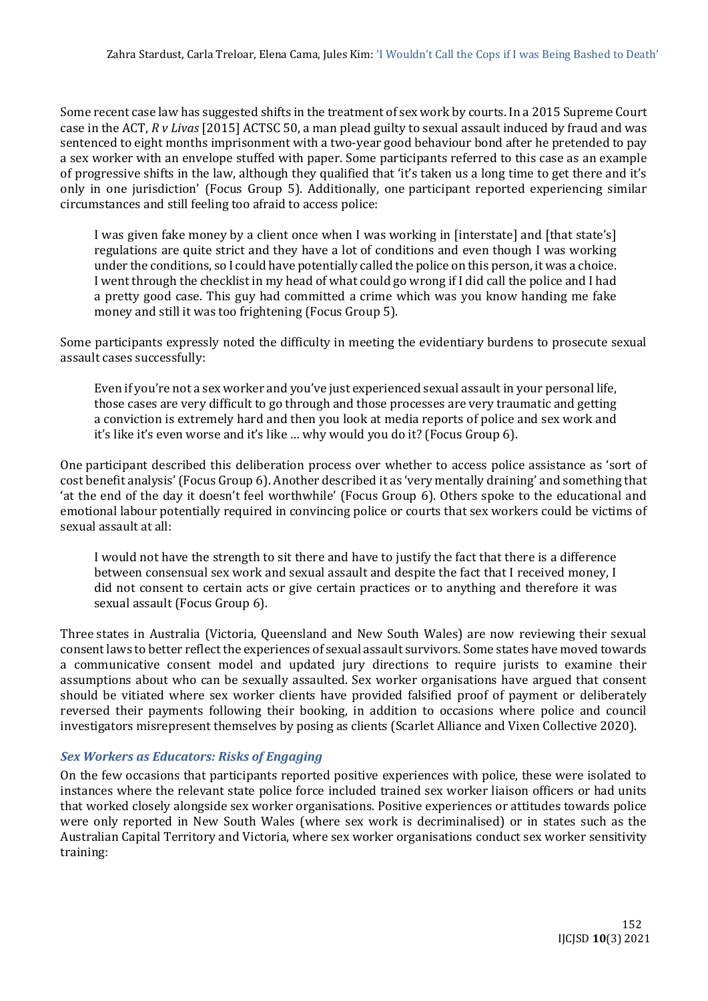Some recent case law has suggested shifts in the treatment of sex work by courts. In a 2015 Supreme Court case in the ACT, *R v Livas* [2015] ACTSC 50, a man plead guilty to sexual assault induced by fraud and was sentenced to eight months imprisonment with a two-year good behaviour bond after he pretended to pay a sex worker with an envelope stuffed with paper. Some participants referred to this case as an example of progressive shifts in the law, although they qualified that 'it's taken us a long time to get there and it's only in one jurisdiction' (Focus Group 5). Additionally, one participant reported experiencing similar circumstances and still feeling too afraid to access police:

I was given fake money by a client once when I was working in [interstate] and [that state's] regulations are quite strict and they have a lot of conditions and even though I was working under the conditions, so I could have potentially called the police on this person, it was a choice. I went through the checklist in my head of what could go wrong if I did call the police and I had a pretty good case. This guy had committed a crime which was you know handing me fake money and still it was too frightening (Focus Group 5).

Some participants expressly noted the difficulty in meeting the evidentiary burdens to prosecute sexual assault cases successfully:

Even if you're not a sex worker and you've just experienced sexual assault in your personal life, those cases are very difficult to go through and those processes are very traumatic and getting a conviction is extremely hard and then you look at media reports of police and sex work and it's like it's even worse and it's like … why would you do it? (Focus Group 6).

One participant described this deliberation process over whether to access police assistance as 'sort of cost benefit analysis' (Focus Group 6). Another described it as 'very mentally draining' and something that 'at the end of the day it doesn't feel worthwhile' (Focus Group 6). Others spoke to the educational and emotional labour potentially required in convincing police or courts that sex workers could be victims of sexual assault at all:

I would not have the strength to sit there and have to justify the fact that there is a difference between consensual sex work and sexual assault and despite the fact that I received money, I did not consent to certain acts or give certain practices or to anything and therefore it was sexual assault (Focus Group 6).

Three states in Australia (Victoria, Queensland and New South Wales) are now reviewing their sexual consent laws to better reflect the experiences of sexual assault survivors. Some states have moved towards a communicative consent model and updated jury directions to require jurists to examine their assumptions about who can be sexually assaulted. Sex worker organisations have argued that consent should be vitiated where sex worker clients have provided falsified proof of payment or deliberately reversed their payments following their booking, in addition to occasions where police and council investigators misrepresent themselves by posing as clients (Scarlet Alliance and Vixen Collective 2020).

## *Sex Workers as Educators: Risks of Engaging*

On the few occasions that participants reported positive experiences with police, these were isolated to instances where the relevant state police force included trained sex worker liaison officers or had units that worked closely alongside sex worker organisations. Positive experiences or attitudes towards police were only reported in New South Wales (where sex work is decriminalised) or in states such as the Australian Capital Territory and Victoria, where sex worker organisations conduct sex worker sensitivity training: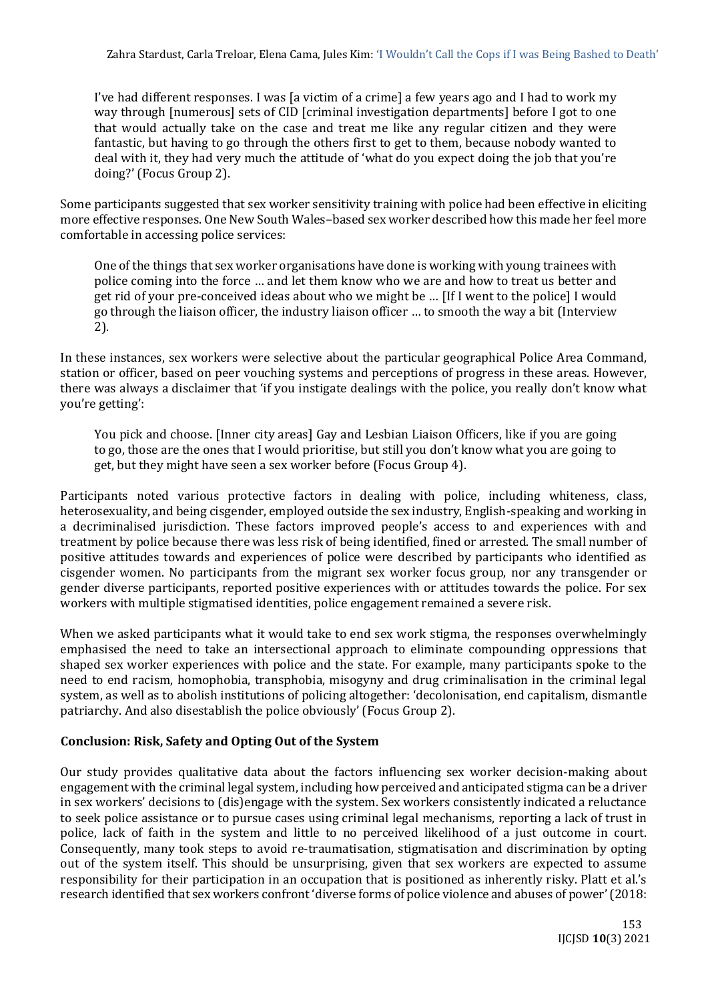I've had different responses. I was [a victim of a crime] a few years ago and I had to work my way through [numerous] sets of CID [criminal investigation departments] before I got to one that would actually take on the case and treat me like any regular citizen and they were fantastic, but having to go through the others first to get to them, because nobody wanted to deal with it, they had very much the attitude of 'what do you expect doing the job that you're doing?' (Focus Group 2).

Some participants suggested that sex worker sensitivity training with police had been effective in eliciting more effective responses. One New South Wales–based sex worker described how this made her feel more comfortable in accessing police services:

One of the things that sex worker organisations have done is working with young trainees with police coming into the force … and let them know who we are and how to treat us better and get rid of your pre-conceived ideas about who we might be … [If I went to the police] I would go through the liaison officer, the industry liaison officer … to smooth the way a bit (Interview 2).

In these instances, sex workers were selective about the particular geographical Police Area Command, station or officer, based on peer vouching systems and perceptions of progress in these areas. However, there was always a disclaimer that 'if you instigate dealings with the police, you really don't know what you're getting':

You pick and choose. [Inner city areas] Gay and Lesbian Liaison Officers, like if you are going to go, those are the ones that I would prioritise, but still you don't know what you are going to get, but they might have seen a sex worker before (Focus Group 4).

Participants noted various protective factors in dealing with police, including whiteness, class, heterosexuality, and being cisgender, employed outside the sex industry, English-speaking and working in a decriminalised jurisdiction. These factors improved people's access to and experiences with and treatment by police because there was less risk of being identified, fined or arrested. The small number of positive attitudes towards and experiences of police were described by participants who identified as cisgender women. No participants from the migrant sex worker focus group, nor any transgender or gender diverse participants, reported positive experiences with or attitudes towards the police. For sex workers with multiple stigmatised identities, police engagement remained a severe risk.

When we asked participants what it would take to end sex work stigma, the responses overwhelmingly emphasised the need to take an intersectional approach to eliminate compounding oppressions that shaped sex worker experiences with police and the state. For example, many participants spoke to the need to end racism, homophobia, transphobia, misogyny and drug criminalisation in the criminal legal system, as well as to abolish institutions of policing altogether: 'decolonisation, end capitalism, dismantle patriarchy. And also disestablish the police obviously' (Focus Group 2).

## **Conclusion: Risk, Safety and Opting Out of the System**

Our study provides qualitative data about the factors influencing sex worker decision-making about engagement with the criminal legal system, including how perceived and anticipated stigma can be a driver in sex workers' decisions to (dis)engage with the system. Sex workers consistently indicated a reluctance to seek police assistance or to pursue cases using criminal legal mechanisms, reporting a lack of trust in police, lack of faith in the system and little to no perceived likelihood of a just outcome in court. Consequently, many took steps to avoid re-traumatisation, stigmatisation and discrimination by opting out of the system itself. This should be unsurprising, given that sex workers are expected to assume responsibility for their participation in an occupation that is positioned as inherently risky. Platt et al.'s research identified that sex workers confront 'diverse forms of police violence and abuses of power' (2018: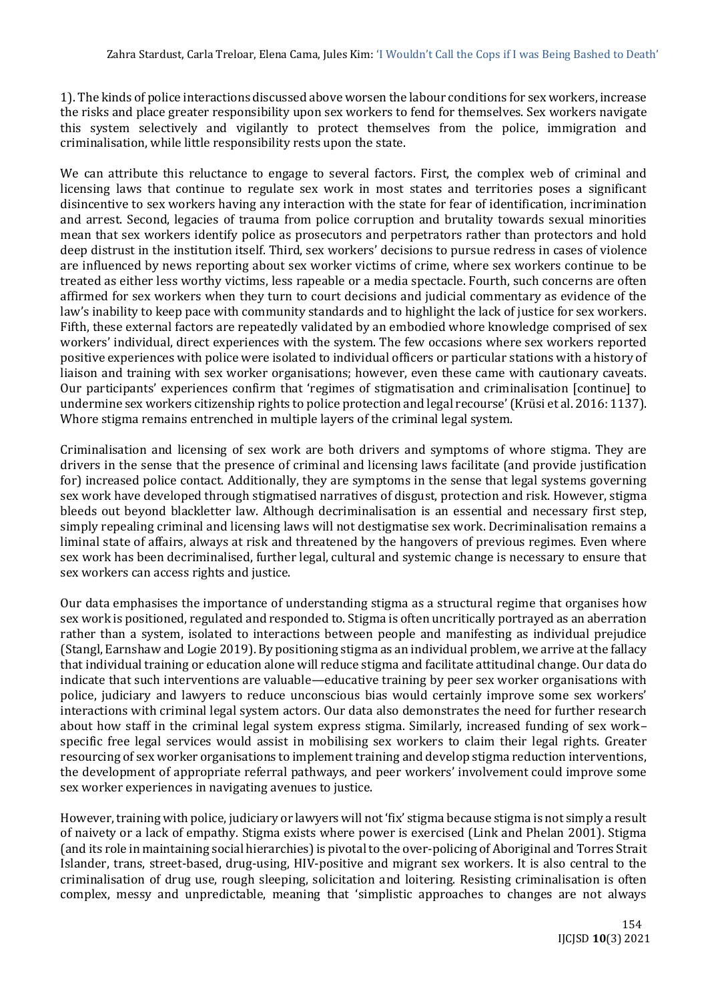1). The kinds of police interactions discussed above worsen the labour conditions for sex workers, increase the risks and place greater responsibility upon sex workers to fend for themselves. Sex workers navigate this system selectively and vigilantly to protect themselves from the police, immigration and criminalisation, while little responsibility rests upon the state.

We can attribute this reluctance to engage to several factors. First, the complex web of criminal and licensing laws that continue to regulate sex work in most states and territories poses a significant disincentive to sex workers having any interaction with the state for fear of identification, incrimination and arrest. Second, legacies of trauma from police corruption and brutality towards sexual minorities mean that sex workers identify police as prosecutors and perpetrators rather than protectors and hold deep distrust in the institution itself. Third, sex workers' decisions to pursue redress in cases of violence are influenced by news reporting about sex worker victims of crime, where sex workers continue to be treated as either less worthy victims, less rapeable or a media spectacle. Fourth, such concerns are often affirmed for sex workers when they turn to court decisions and judicial commentary as evidence of the law's inability to keep pace with community standards and to highlight the lack of justice for sex workers. Fifth, these external factors are repeatedly validated by an embodied whore knowledge comprised of sex workers' individual, direct experiences with the system. The few occasions where sex workers reported positive experiences with police were isolated to individual officers or particular stations with a history of liaison and training with sex worker organisations; however, even these came with cautionary caveats. Our participants' experiences confirm that 'regimes of stigmatisation and criminalisation [continue] to undermine sex workers citizenship rights to police protection and legal recourse' (Krüsi et al. 2016: 1137). Whore stigma remains entrenched in multiple layers of the criminal legal system.

Criminalisation and licensing of sex work are both drivers and symptoms of whore stigma. They are drivers in the sense that the presence of criminal and licensing laws facilitate (and provide justification for) increased police contact. Additionally, they are symptoms in the sense that legal systems governing sex work have developed through stigmatised narratives of disgust, protection and risk. However, stigma bleeds out beyond blackletter law. Although decriminalisation is an essential and necessary first step, simply repealing criminal and licensing laws will not destigmatise sex work. Decriminalisation remains a liminal state of affairs, always at risk and threatened by the hangovers of previous regimes. Even where sex work has been decriminalised, further legal, cultural and systemic change is necessary to ensure that sex workers can access rights and justice.

Our data emphasises the importance of understanding stigma as a structural regime that organises how sex work is positioned, regulated and responded to. Stigma is often uncritically portrayed as an aberration rather than a system, isolated to interactions between people and manifesting as individual prejudice (Stangl, Earnshaw and Logie 2019). By positioning stigma as an individual problem, we arrive at the fallacy that individual training or education alone will reduce stigma and facilitate attitudinal change. Our data do indicate that such interventions are valuable—educative training by peer sex worker organisations with police, judiciary and lawyers to reduce unconscious bias would certainly improve some sex workers' interactions with criminal legal system actors. Our data also demonstrates the need for further research about how staff in the criminal legal system express stigma. Similarly, increased funding of sex work– specific free legal services would assist in mobilising sex workers to claim their legal rights. Greater resourcing of sex worker organisations to implement training and develop stigma reduction interventions, the development of appropriate referral pathways, and peer workers' involvement could improve some sex worker experiences in navigating avenues to justice.

However, training with police, judiciary or lawyers will not 'fix' stigma because stigma is not simply a result of naivety or a lack of empathy. Stigma exists where power is exercised (Link and Phelan 2001). Stigma (and its role in maintaining social hierarchies) is pivotal to the over-policing of Aboriginal and Torres Strait Islander, trans, street-based, drug-using, HIV-positive and migrant sex workers. It is also central to the criminalisation of drug use, rough sleeping, solicitation and loitering. Resisting criminalisation is often complex, messy and unpredictable, meaning that 'simplistic approaches to changes are not always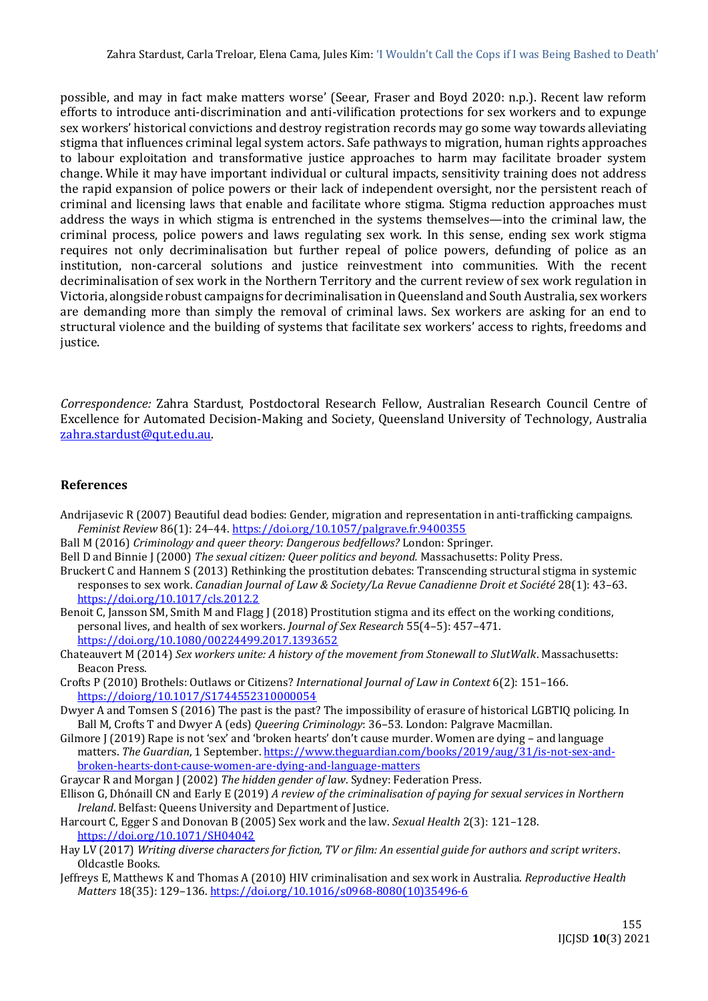possible, and may in fact make matters worse' (Seear, Fraser and Boyd 2020: n.p.). Recent law reform efforts to introduce anti-discrimination and anti-vilification protections for sex workers and to expunge sex workers' historical convictions and destroy registration records may go some way towards alleviating stigma that influences criminal legal system actors. Safe pathways to migration, human rights approaches to labour exploitation and transformative justice approaches to harm may facilitate broader system change. While it may have important individual or cultural impacts, sensitivity training does not address the rapid expansion of police powers or their lack of independent oversight, nor the persistent reach of criminal and licensing laws that enable and facilitate whore stigma. Stigma reduction approaches must address the ways in which stigma is entrenched in the systems themselves—into the criminal law, the criminal process, police powers and laws regulating sex work. In this sense, ending sex work stigma requires not only decriminalisation but further repeal of police powers, defunding of police as an institution, non-carceral solutions and justice reinvestment into communities. With the recent decriminalisation of sex work in the Northern Territory and the current review of sex work regulation in Victoria, alongside robust campaigns for decriminalisation in Queensland and South Australia, sex workers are demanding more than simply the removal of criminal laws. Sex workers are asking for an end to structural violence and the building of systems that facilitate sex workers' access to rights, freedoms and justice.

*Correspondence:* Zahra Stardust, Postdoctoral Research Fellow, Australian Research Council Centre of Excellence for Automated Decision-Making and Society, Queensland University of Technology, Australia [zahra.stardust@qut.edu.au.](mailto:zahra.stardust@qut.edu.au)

### **References**

- Andrijasevic R (2007) Beautiful dead bodies: Gender, migration and representation in anti-trafficking campaigns. *Feminist Review* 86(1): 24–44[. https://doi.org/10.1057/palgrave.fr.9400355](https://doi.org/10.1057/palgrave.fr.9400355)
- Ball M (2016) *Criminology and queer theory: Dangerous bedfellows?* London: Springer.
- Bell D and Binnie J (2000) *The sexual citizen: Queer politics and beyond.* Massachusetts: Polity Press.
- Bruckert C and Hannem S (2013) Rethinking the prostitution debates: Transcending structural stigma in systemic responses to sex work. *Canadian Journal of Law & Society/La Revue Canadienne Droit et Société* 28(1): 43–63. <https://doi.org/10.1017/cls.2012.2>
- Benoit C, Jansson SM, Smith M and Flagg J (2018) Prostitution stigma and its effect on the working conditions, personal lives, and health of sex workers. *Journal of Sex Research* 55(4–5): 457–471. <https://doi.org/10.1080/00224499.2017.1393652>
- Chateauvert M (2014) *Sex workers unite: A history of the movement from Stonewall to SlutWalk*. Massachusetts: Beacon Press.
- Crofts P (2010) Brothels: Outlaws or Citizens? *International Journal of Law in Context* 6(2): 151–166. <https://doiorg/10.1017/S1744552310000054>
- Dwyer A and Tomsen S (2016) The past is the past? The impossibility of erasure of historical LGBTIQ policing. In Ball M, Crofts T and Dwyer A (eds) *Queering Criminology*: 36–53. London: Palgrave Macmillan.
- Gilmore J (2019) Rape is not 'sex' and 'broken hearts' don't cause murder. Women are dying and language matters. *The Guardian*, 1 September. [https://www.theguardian.com/books/2019/aug/31/is-not-sex-and](https://www.theguardian.com/books/2019/aug/31/is-not-sex-and-broken-hearts-dont-cause-women-are-dying-and-language-matters)[broken-hearts-dont-cause-women-are-dying-and-language-matters](https://www.theguardian.com/books/2019/aug/31/is-not-sex-and-broken-hearts-dont-cause-women-are-dying-and-language-matters)
- Graycar R and Morgan J (2002) *The hidden gender of law*. Sydney: Federation Press.
- Ellison G, Dhónaill CN and Early E (2019) *A review of the criminalisation of paying for sexual services in Northern Ireland*. Belfast: Queens University and Department of Justice.
- Harcourt C, Egger S and Donovan B (2005) Sex work and the law. *Sexual Health* 2(3): 121–128. <https://doi.org/10.1071/SH04042>
- Hay LV (2017) *Writing diverse characters for fiction, TV or film: An essential guide for authors and script writers*. Oldcastle Books.
- Jeffreys E, Matthews K and Thomas A (2010) HIV criminalisation and sex work in Australia. *Reproductive Health Matters* 18(35): 129–136. [https://doi.org/10.1016/s0968-8080\(10\)35496-6](https://doi.org/10.1016/s0968-8080(10)35496-6)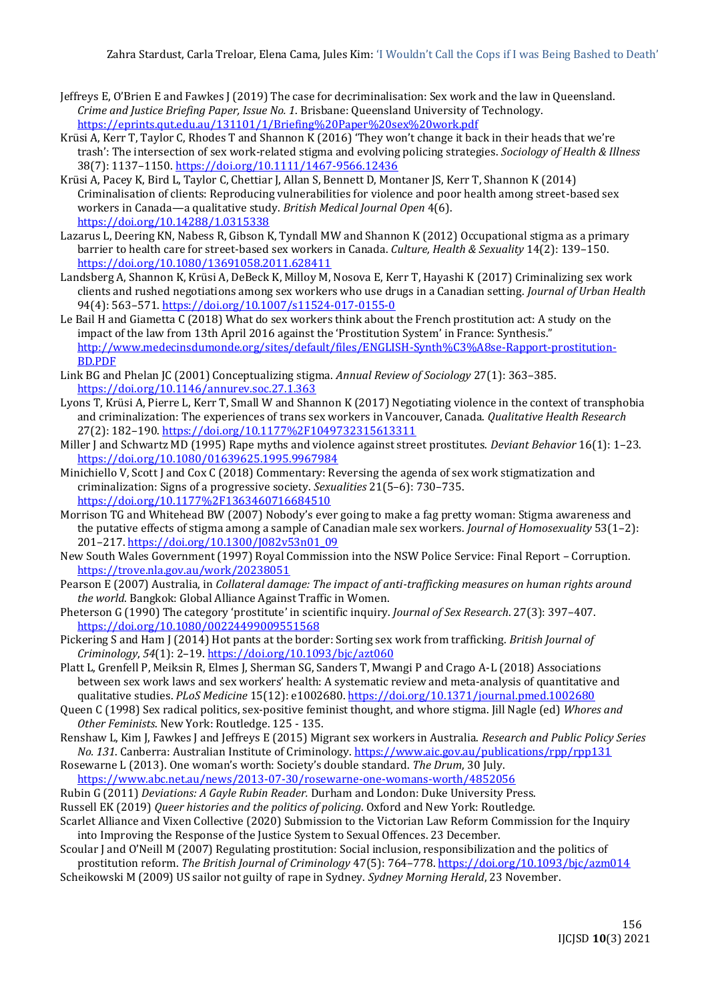- Jeffreys E, O'Brien E and Fawkes J (2019) The case for decriminalisation: Sex work and the law in Queensland. *Crime and Justice Briefing Paper, Issue No. 1*. Brisbane: Queensland University of Technology. <https://eprints.qut.edu.au/131101/1/Briefing%20Paper%20sex%20work.pdf>
- Krüsi A, Kerr T, Taylor C, Rhodes T and Shannon K (2016) 'They won't change it back in their heads that we're trash': The intersection of sex work‐related stigma and evolving policing strategies. *Sociology of Health & Illness* 38(7): 1137–1150.<https://doi.org/10.1111/1467-9566.12436>
- Krüsi A, Pacey K, Bird L, Taylor C, Chettiar J, Allan S, Bennett D, Montaner JS, Kerr T, Shannon K (2014) Criminalisation of clients: Reproducing vulnerabilities for violence and poor health among street-based sex workers in Canada—a qualitative study. *British Medical Journal Open* 4(6). <https://doi.org/10.14288/1.0315338>
- Lazarus L, Deering KN, Nabess R, Gibson K, Tyndall MW and Shannon K (2012) Occupational stigma as a primary barrier to health care for street-based sex workers in Canada. *Culture, Health & Sexuality* 14(2): 139–150. <https://doi.org/10.1080/13691058.2011.628411>
- Landsberg A, Shannon K, Krüsi A, DeBeck K, Milloy M, Nosova E, Kerr T, Hayashi K (2017) Criminalizing sex work clients and rushed negotiations among sex workers who use drugs in a Canadian setting. *Journal of Urban Health* 94(4): 563–571.<https://doi.org/10.1007/s11524-017-0155-0>
- Le Bail H and Giametta C (2018) What do sex workers think about the French prostitution act: A study on the impact of the law from 13th April 2016 against the 'Prostitution System' in France: Synthesis." [http://www.medecinsdumonde.org/sites/default/files/ENGLISH-Synth%C3%A8se-Rapport-prostitution-](http://www.medecinsdumonde.org/sites/default/files/ENGLISH-Synth%C3%A8se-Rapport-prostitution-BD.PDF)[BD.PDF](http://www.medecinsdumonde.org/sites/default/files/ENGLISH-Synth%C3%A8se-Rapport-prostitution-BD.PDF)
- Link BG and Phelan JC (2001) Conceptualizing stigma. *Annual Review of Sociology* 27(1): 363–385. <https://doi.org/10.1146/annurev.soc.27.1.363>
- Lyons T, Krüsi A, Pierre L, Kerr T, Small W and Shannon K (2017) Negotiating violence in the context of transphobia and criminalization: The experiences of trans sex workers in Vancouver, Canada. *Qualitative Health Research* 27(2): 182–190.<https://doi.org/10.1177%2F1049732315613311>
- Miller J and Schwartz MD (1995) Rape myths and violence against street prostitutes. *Deviant Behavior* 16(1): 1–23. [https://doi.org/10.1080/01639625.1995.9967984](https://psycnet.apa.org/doi/10.1080/01639625.1995.9967984)
- Minichiello V, Scott J and Cox C (2018) Commentary: Reversing the agenda of sex work stigmatization and criminalization: Signs of a progressive society. *Sexualities* 21(5–6): 730–735. <https://doi.org/10.1177%2F1363460716684510>
- Morrison TG and Whitehead BW (2007) Nobody's ever going to make a fag pretty woman: Stigma awareness and the putative effects of stigma among a sample of Canadian male sex workers. *Journal of Homosexuality* 53(1–2): 201–217[. https://doi.org/10.1300/J082v53n01\\_09](https://doi.org/10.1300/J082v53n01_09)
- New South Wales Government (1997) Royal Commission into the NSW Police Service: Final Report Corruption. <https://trove.nla.gov.au/work/20238051>
- Pearson E (2007) Australia, in *Collateral damage: The impact of anti-trafficking measures on human rights around the world*. Bangkok: Global Alliance Against Traffic in Women.
- Pheterson G (1990) The category 'prostitute' in scientific inquiry. *Journal of Sex Research*. 27(3): 397–407. <https://doi.org/10.1080/00224499009551568>
- Pickering S and Ham J (2014) Hot pants at the border: Sorting sex work from trafficking. *British Journal of Criminology*, *54*(1): 2–19. <https://doi.org/10.1093/bjc/azt060>
- Platt L, Grenfell P, Meiksin R, Elmes J, Sherman SG, Sanders T, Mwangi P and Crago A-L (2018) Associations between sex work laws and sex workers' health: A systematic review and meta-analysis of quantitative and qualitative studies. *PLoS Medicine* 15(12): e1002680.<https://doi.org/10.1371/journal.pmed.1002680>
- Queen C (1998) Sex radical politics, sex-positive feminist thought, and whore stigma. Jill Nagle (ed) *Whores and Other Feminists*. New York: Routledge. 125 - 135.
- Renshaw L, Kim J, Fawkes J and Jeffreys E (2015) Migrant sex workers in Australia. *Research and Public Policy Series No. 131*. Canberra: Australian Institute of Criminology.<https://www.aic.gov.au/publications/rpp/rpp131>
- Rosewarne L (2013). One woman's worth: Society's double standard. *The Drum*, 30 July.
- <https://www.abc.net.au/news/2013-07-30/rosewarne-one-womans-worth/4852056>
- Rubin G (2011) *Deviations: A Gayle Rubin Reader.* Durham and London: Duke University Press.
- Russell EK (2019) *Queer histories and the politics of policing*. Oxford and New York: Routledge.
- Scarlet Alliance and Vixen Collective (2020) Submission to the Victorian Law Reform Commission for the Inquiry into Improving the Response of the Justice System to Sexual Offences. 23 December.
- Scoular J and O'Neill M (2007) Regulating prostitution: Social inclusion, responsibilization and the politics of
- prostitution reform. *The British Journal of Criminology* 47(5): 764–778[. https://doi.org/10.1093/bjc/azm014](https://doi.org/10.1093/bjc/azm014) Scheikowski M (2009) US sailor not guilty of rape in Sydney. *Sydney Morning Herald*, 23 November.